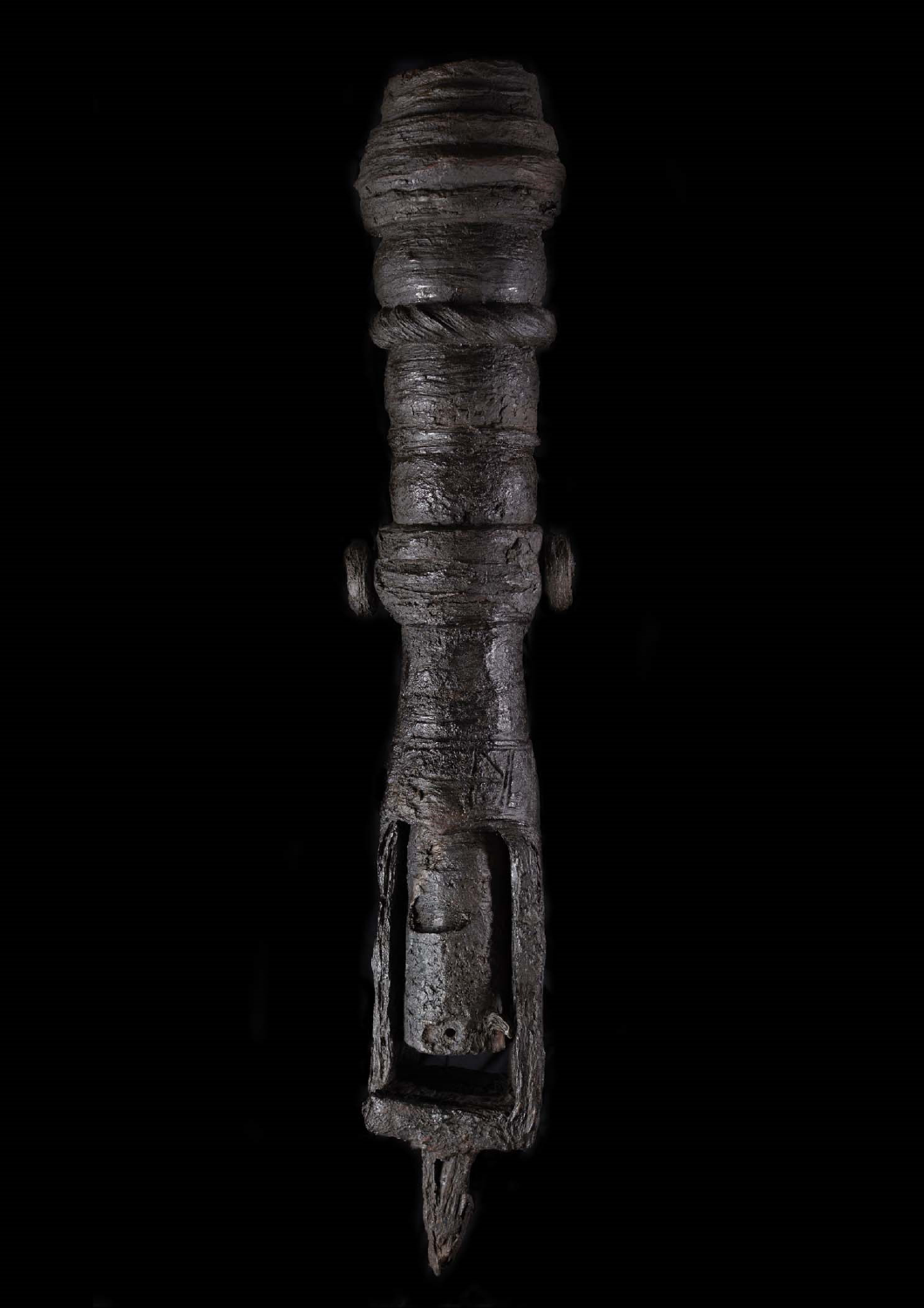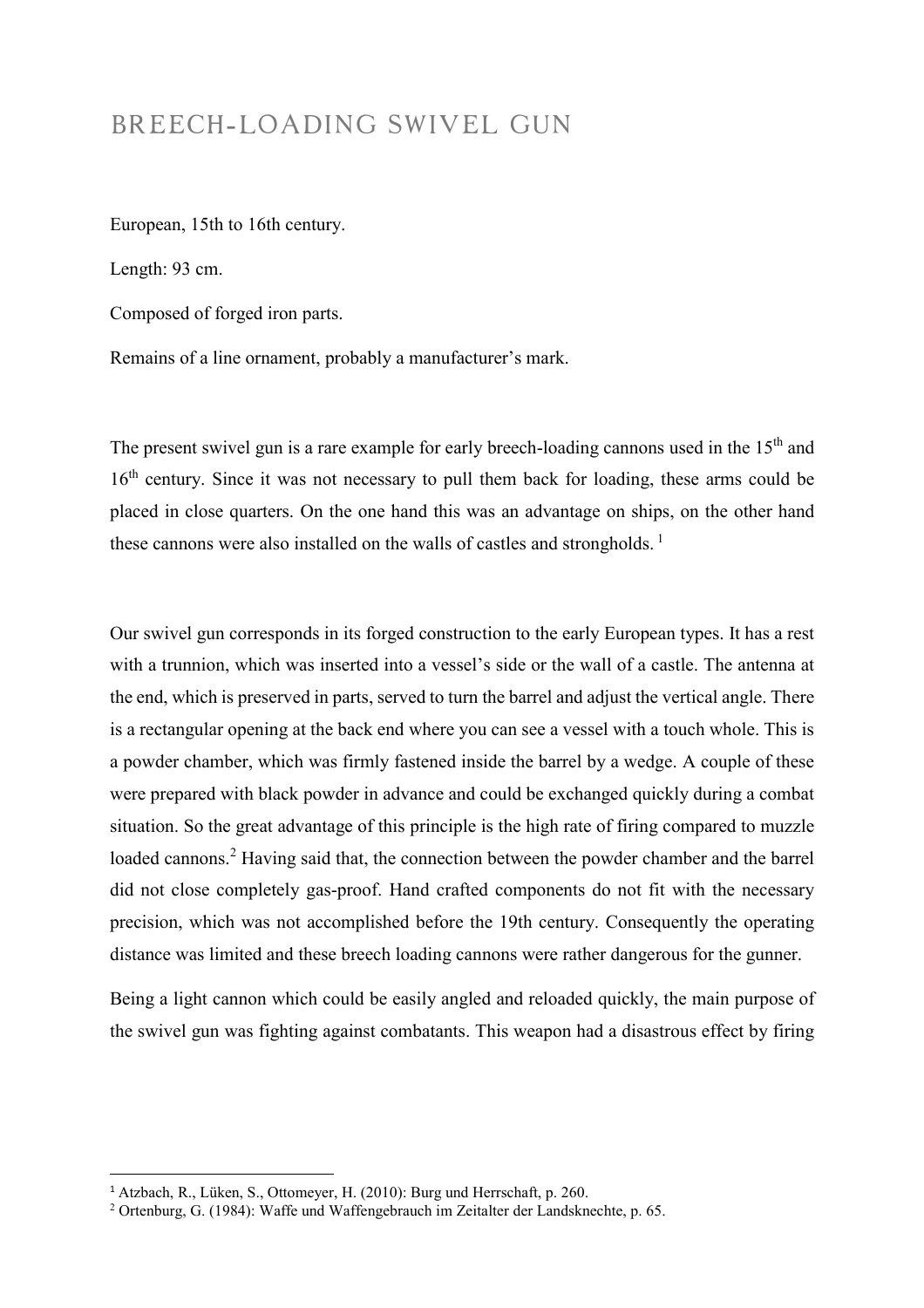## BREECH-LOADING SWIVEL GUN

European, 15th to 16th century.

Length: 93 cm.

l

Composed of forged iron parts.

Remains of a line ornament, probably a manufacturer's mark.

The present swivel gun is a rare example for early breech-loading cannons used in the 15<sup>th</sup> and 16<sup>th</sup> century. Since it was not necessary to pull them back for loading, these arms could be placed in close quarters. On the one hand this was an advantage on ships, on the other hand these cannons were also installed on the walls of castles and strongholds.<sup>1</sup>

Our swivel gun corresponds in its forged construction to the early European types. It has a rest with a trunnion, which was inserted into a vessel's side or the wall of a castle. The antenna at the end, which is preserved in parts, served to turn the barrel and adjust the vertical angle. There is a rectangular opening at the back end where you can see a vessel with a touch whole. This is a powder chamber, which was firmly fastened inside the barrel by a wedge. A couple of these were prepared with black powder in advance and could be exchanged quickly during a combat situation. So the great advantage of this principle is the high rate of firing compared to muzzle loaded cannons.<sup>2</sup> Having said that, the connection between the powder chamber and the barrel did not close completely gas-proof. Hand crafted components do not fit with the necessary precision, which was not accomplished before the 19th century. Consequently the operating distance was limited and these breech loading cannons were rather dangerous for the gunner.

Being a light cannon which could be easily angled and reloaded quickly, the main purpose of the swivel gun was fighting against combatants. This weapon had a disastrous effect by firing

<sup>1</sup> Atzbach, R., Lüken, S., Ottomeyer, H. (2010): Burg und Herrschaft, p. 260.

<sup>&</sup>lt;sup>2</sup> Ortenburg, G. (1984): Waffe und Waffengebrauch im Zeitalter der Landsknechte, p. 65.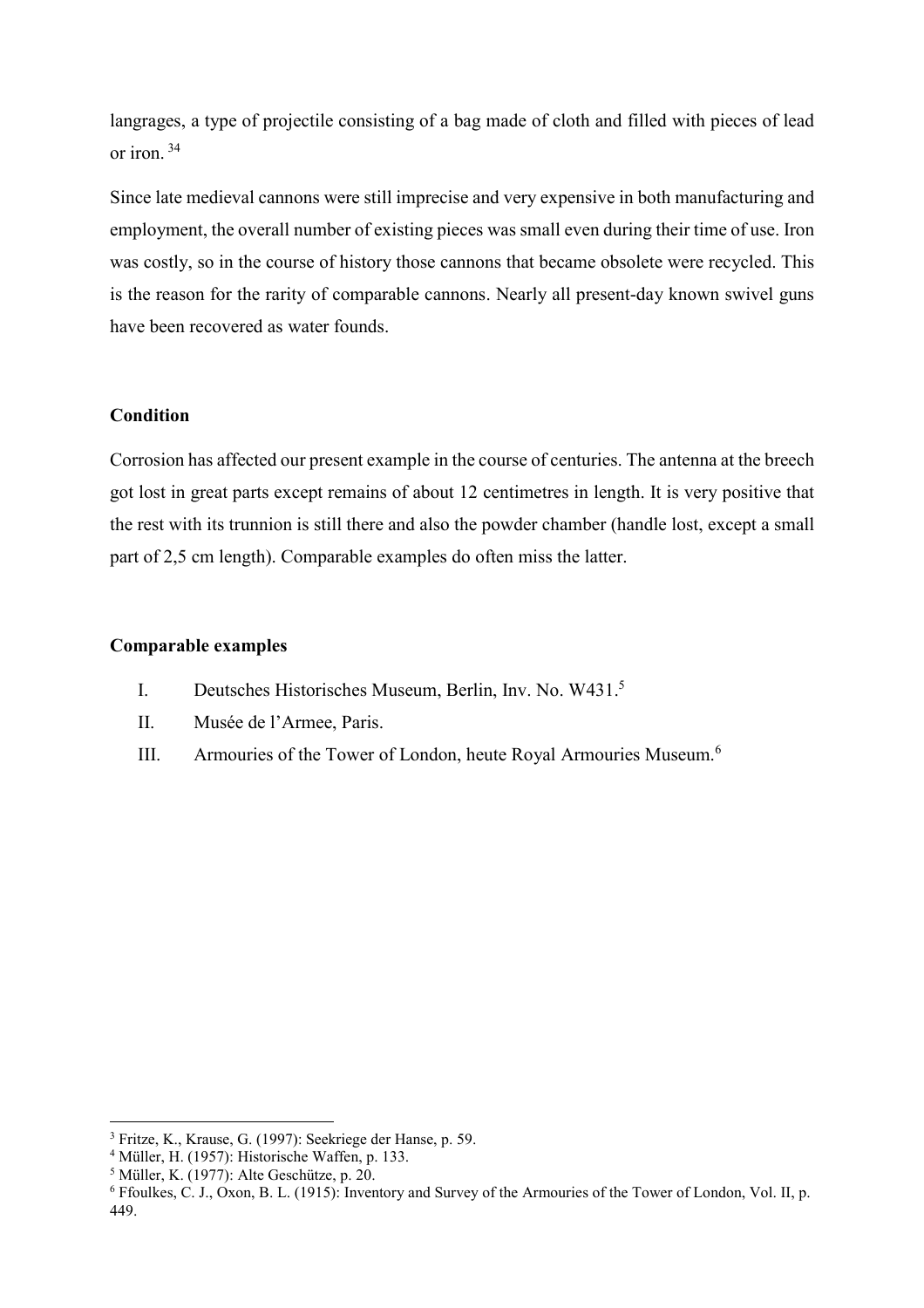langrages, a type of projectile consisting of a bag made of cloth and filled with pieces of lead or iron.<sup>34</sup>

Since late medieval cannons were still imprecise and very expensive in both manufacturing and employment, the overall number of existing pieces was small even during their time of use. Iron was costly, so in the course of history those cannons that became obsolete were recycled. This is the reason for the rarity of comparable cannons. Nearly all present-day known swivel guns have been recovered as water founds.

## **Condition**

Corrosion has affected our present example in the course of centuries. The antenna at the breech got lost in great parts except remains of about 12 centimetres in length. It is very positive that the rest with its trunnion is still there and also the powder chamber (handle lost, except a small part of 2,5 cm length). Comparable examples do often miss the latter.

## **Comparable examples**

- I. Deutsches Historisches Museum, Berlin, Inv. No. W431.<sup>5</sup>
- II. Musée de l'Armee, Paris.
- III. Armouries of the Tower of London, heute Royal Armouries Museum.<sup>6</sup>

 $\overline{a}$ 

<sup>3</sup> Fritze, K., Krause, G. (1997): Seekriege der Hanse, p. 59.

<sup>4</sup> Müller, H. (1957): Historische Waffen, p. 133.

<sup>5</sup> Müller, K. (1977): Alte Geschütze, p. 20.

<sup>6</sup> Ffoulkes, C. J., Oxon, B. L. (1915): Inventory and Survey of the Armouries of the Tower of London, Vol. II, p. 449.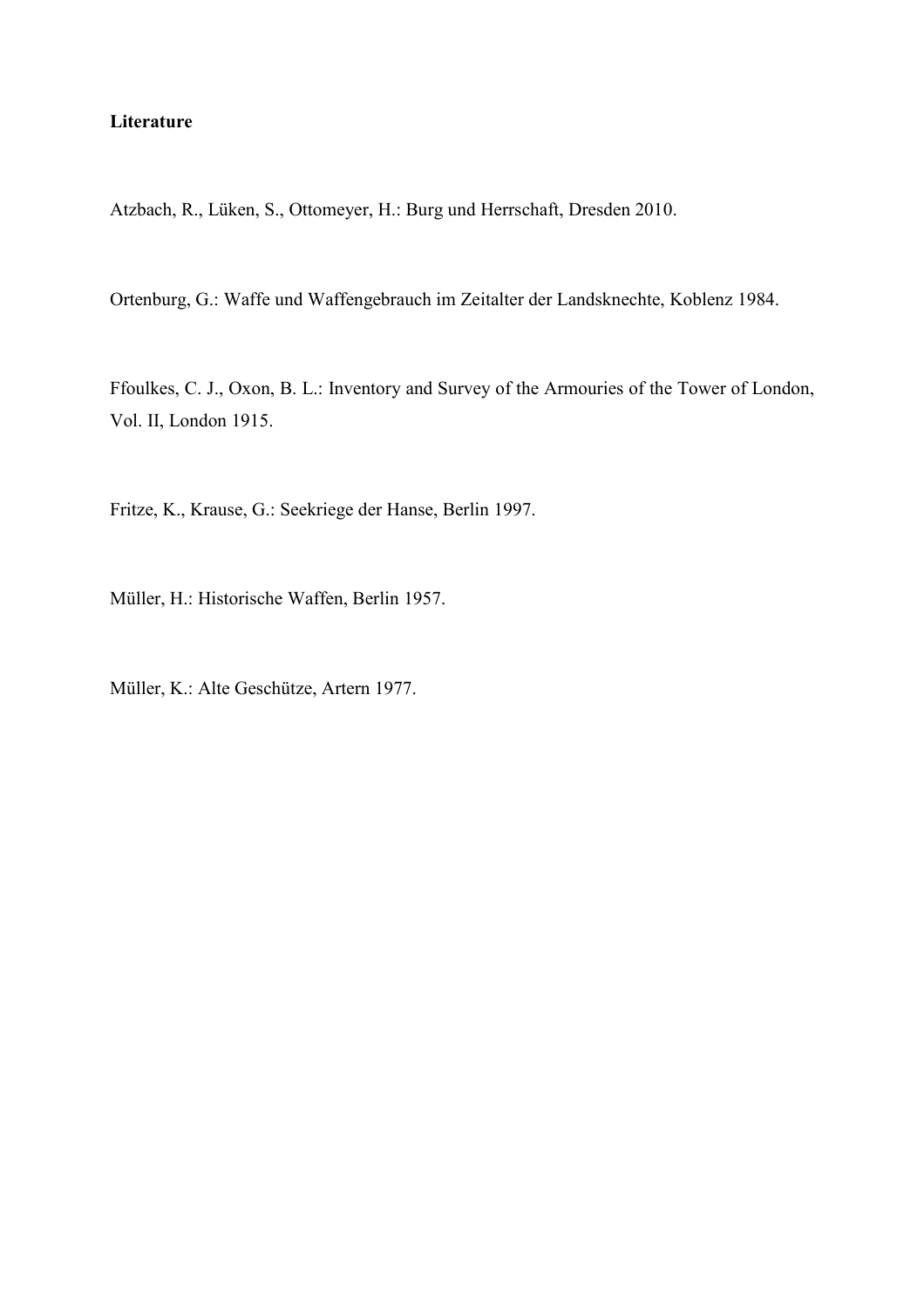## **Literature**

Atzbach, R., Lüken, S., Ottomeyer, H.: Burg und Herrschaft, Dresden 2010.

Ortenburg, G.: Waffe und Waffengebrauch im Zeitalter der Landsknechte, Koblenz 1984.

Ffoulkes, C. J., Oxon, B. L.: Inventory and Survey of the Armouries of the Tower of London, Vol. II, London 1915.

Fritze, K., Krause, G.: Seekriege der Hanse, Berlin 1997.

Müller, H.: Historische Waffen, Berlin 1957.

Müller, K.: Alte Geschütze, Artern 1977.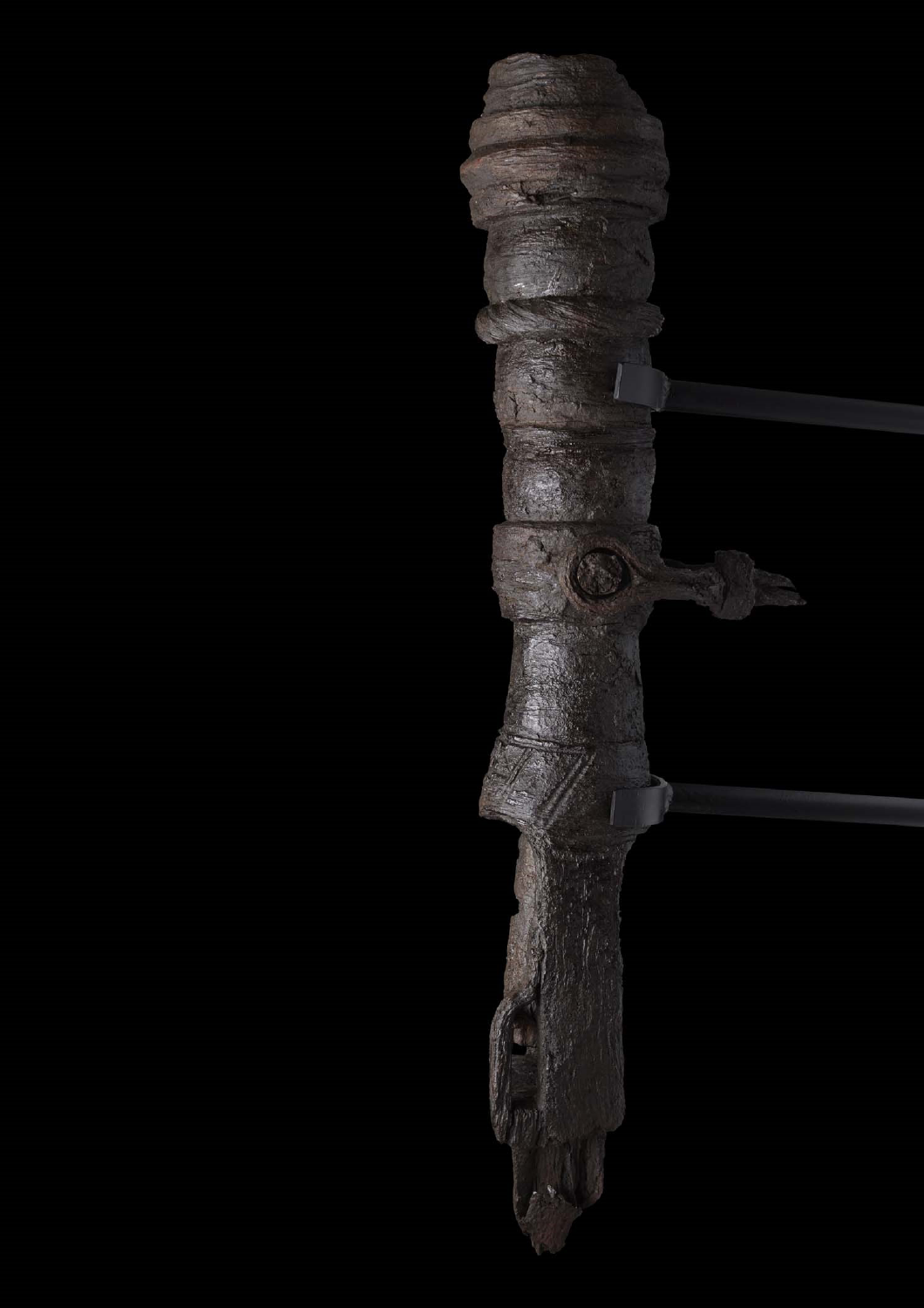